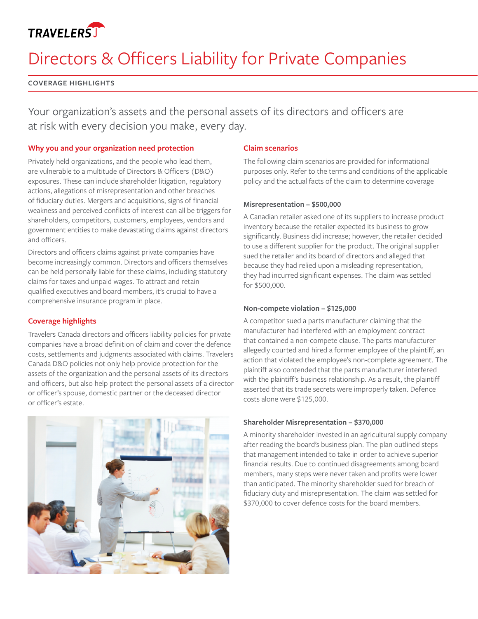## **TRAVELERST**

# Directors & Officers Liability for Private Companies

#### **COVERAGE HIGHLIGHTS**

Your organization's assets and the personal assets of its directors and officers are at risk with every decision you make, every day.

#### **Why you and your organization need protection**

Privately held organizations, and the people who lead them, are vulnerable to a multitude of Directors & Officers (D&O) exposures. These can include shareholder litigation, regulatory actions, allegations of misrepresentation and other breaches of fiduciary duties. Mergers and acquisitions, signs of financial weakness and perceived conflicts of interest can all be triggers for shareholders, competitors, customers, employees, vendors and government entities to make devastating claims against directors and officers.

Directors and officers claims against private companies have become increasingly common. Directors and officers themselves can be held personally liable for these claims, including statutory claims for taxes and unpaid wages. To attract and retain qualified executives and board members, it's crucial to have a comprehensive insurance program in place.

### **Coverage highlights**

Travelers Canada directors and officers liability policies for private companies have a broad definition of claim and cover the defence costs, settlements and judgments associated with claims. Travelers Canada D&O policies not only help provide protection for the assets of the organization and the personal assets of its directors and officers, but also help protect the personal assets of a director or officer's spouse, domestic partner or the deceased director or officer's estate.



#### **Claim scenarios**

The following claim scenarios are provided for informational purposes only. Refer to the terms and conditions of the applicable policy and the actual facts of the claim to determine coverage

#### **Misrepresentation – \$500,000**

A Canadian retailer asked one of its suppliers to increase product inventory because the retailer expected its business to grow significantly. Business did increase; however, the retailer decided to use a different supplier for the product. The original supplier sued the retailer and its board of directors and alleged that because they had relied upon a misleading representation, they had incurred significant expenses. The claim was settled for \$500,000.

#### **Non-compete violation – \$125,000**

A competitor sued a parts manufacturer claiming that the manufacturer had interfered with an employment contract that contained a non-compete clause. The parts manufacturer allegedly courted and hired a former employee of the plaintiff, an action that violated the employee's non-complete agreement. The plaintiff also contended that the parts manufacturer interfered with the plaintiff's business relationship. As a result, the plaintiff asserted that its trade secrets were improperly taken. Defence costs alone were \$125,000.

#### **Shareholder Misrepresentation – \$370,000**

A minority shareholder invested in an agricultural supply company after reading the board's business plan. The plan outlined steps that management intended to take in order to achieve superior financial results. Due to continued disagreements among board members, many steps were never taken and profits were lower than anticipated. The minority shareholder sued for breach of fiduciary duty and misrepresentation. The claim was settled for \$370,000 to cover defence costs for the board members.